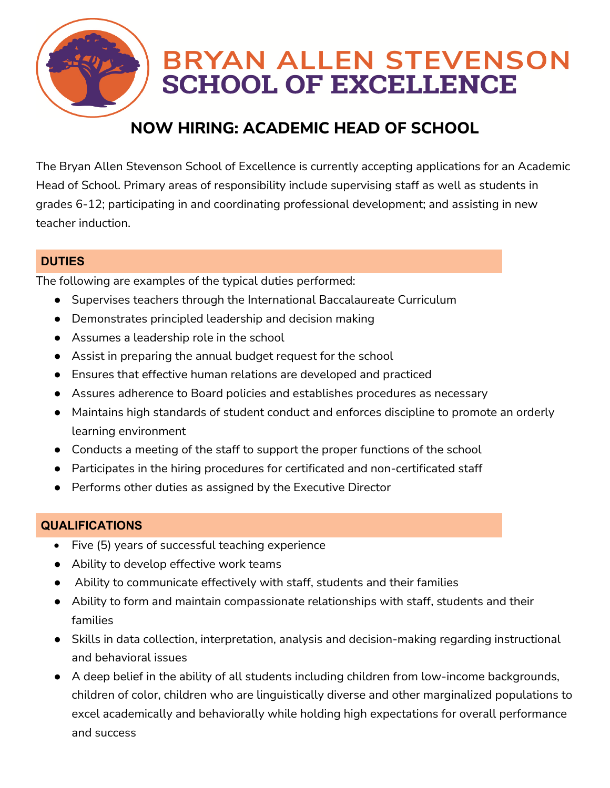

# **BRYAN ALLEN STEVENSON SCHOOL OF EXCELLENCE**

## **NOW HIRING: ACADEMIC HEAD OF SCHOOL**

The Bryan Allen Stevenson School of Excellence is currently accepting applications for an Academic Head of School. Primary areas of responsibility include supervising staff as well as students in grades 6-12; participating in and coordinating professional development; and assisting in new teacher induction.

#### **DUTIES**

The following are examples of the typical duties performed:

- Supervises teachers through the International Baccalaureate Curriculum
- Demonstrates principled leadership and decision making
- Assumes a leadership role in the school
- Assist in preparing the annual budget request for the school
- Ensures that effective human relations are developed and practiced
- Assures adherence to Board policies and establishes procedures as necessary
- Maintains high standards of student conduct and enforces discipline to promote an orderly learning environment
- Conducts a meeting of the staff to support the proper functions of the school
- Participates in the hiring procedures for certificated and non-certificated staff
- Performs other duties as assigned by the Executive Director

### **QUALIFICATIONS**

- Five (5) years of successful teaching experience
- Ability to develop effective work teams
- Ability to communicate effectively with staff, students and their families
- Ability to form and maintain compassionate relationships with staff, students and their families
- Skills in data collection, interpretation, analysis and decision-making regarding instructional and behavioral issues
- A deep belief in the ability of all students including children from low-income backgrounds, children of color, children who are linguistically diverse and other marginalized populations to excel academically and behaviorally while holding high expectations for overall performance and success